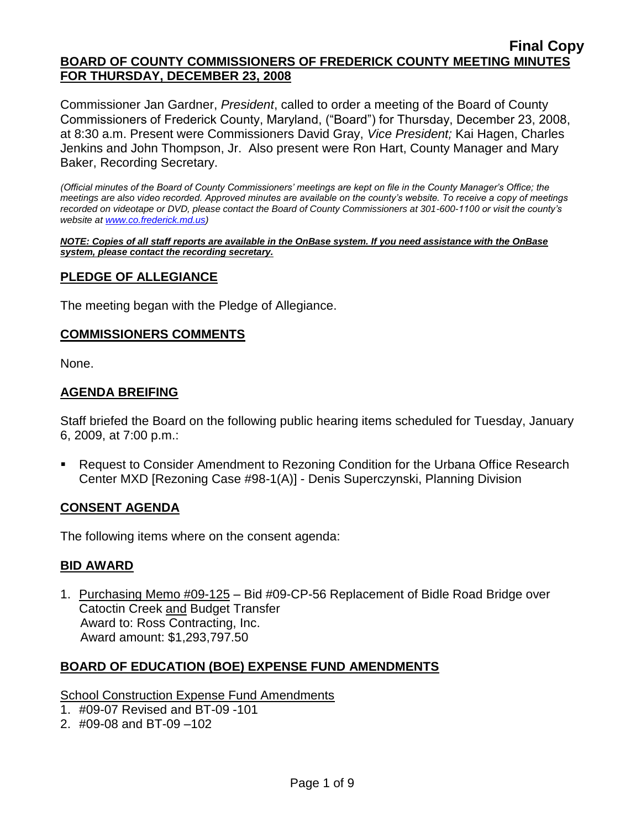Commissioner Jan Gardner, *President*, called to order a meeting of the Board of County Commissioners of Frederick County, Maryland, ("Board") for Thursday, December 23, 2008, at 8:30 a.m. Present were Commissioners David Gray, *Vice President;* Kai Hagen, Charles Jenkins and John Thompson, Jr. Also present were Ron Hart, County Manager and Mary Baker, Recording Secretary.

*(Official minutes of the Board of County Commissioners' meetings are kept on file in the County Manager's Office; the meetings are also video recorded. Approved minutes are available on the county's website. To receive a copy of meetings recorded on videotape or DVD, please contact the Board of County Commissioners at 301-600-1100 or visit the county's website a[t www.co.frederick.md.us\)](http://www.co.frederick.md.us/)*

*NOTE: Copies of all staff reports are available in the OnBase system. If you need assistance with the OnBase system, please contact the recording secretary.*

### **PLEDGE OF ALLEGIANCE**

The meeting began with the Pledge of Allegiance.

#### **COMMISSIONERS COMMENTS**

None.

### **AGENDA BREIFING**

Staff briefed the Board on the following public hearing items scheduled for Tuesday, January 6, 2009, at 7:00 p.m.:

■ Request to Consider Amendment to Rezoning Condition for the Urbana Office Research Center MXD [Rezoning Case #98-1(A)] - Denis Superczynski, Planning Division

#### **CONSENT AGENDA**

The following items where on the consent agenda:

#### *<sup>U</sup>***BID AWARD**

1. Purchasing Memo #09-125 – Bid #09-CP-56 Replacement of Bidle Road Bridge over **Catoctin Creek and Budget Transfer**  Award to: Ross Contracting, Inc. Award amount: \$1,293,797.50

### *<sup>U</sup>***BOARD OF EDUCATION (BOE) EXPENSE FUND AMENDMENTS**

#### School Construction Expense Fund Amendments

- 1. #09-07 Revised and BT-09 -101
- 2. #09-08 and BT-09 –102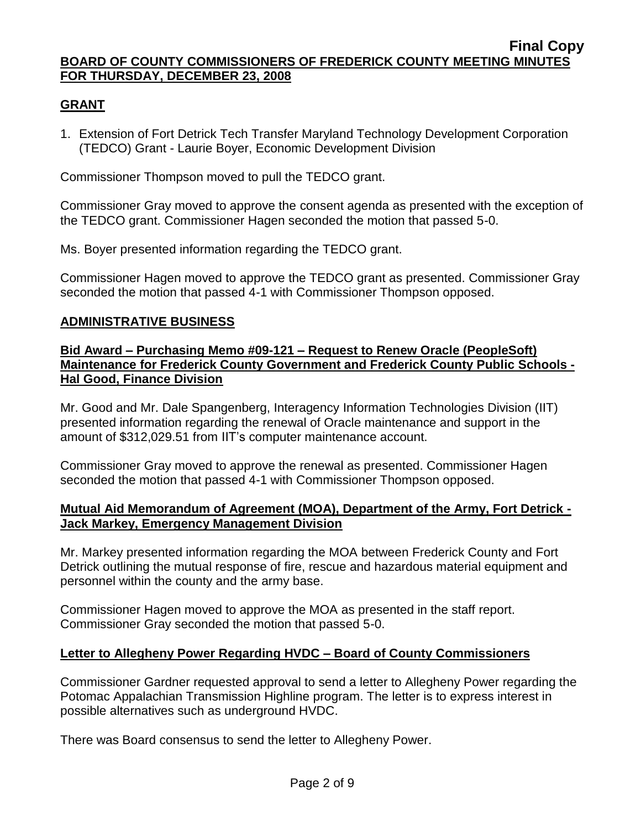## **GRANT**

1. Extension of Fort Detrick Tech Transfer Maryland Technology Development Corporation (TEDCO) Grant - Laurie Boyer, Economic Development Division

Commissioner Thompson moved to pull the TEDCO grant.

Commissioner Gray moved to approve the consent agenda as presented with the exception of the TEDCO grant. Commissioner Hagen seconded the motion that passed 5-0.

Ms. Boyer presented information regarding the TEDCO grant.

Commissioner Hagen moved to approve the TEDCO grant as presented. Commissioner Gray seconded the motion that passed 4-1 with Commissioner Thompson opposed.

## **ADMINISTRATIVE BUSINESS**

### **Bid Award – Purchasing Memo #09-121 – Request to Renew Oracle (PeopleSoft) Maintenance for Frederick County Government and Frederick County Public Schools - Hal Good, Finance Division**

Mr. Good and Mr. Dale Spangenberg, Interagency Information Technologies Division (IIT) presented information regarding the renewal of Oracle maintenance and support in the amount of \$312,029.51 from IIT's computer maintenance account.

Commissioner Gray moved to approve the renewal as presented. Commissioner Hagen seconded the motion that passed 4-1 with Commissioner Thompson opposed.

### **Mutual Aid Memorandum of Agreement (MOA), Department of the Army, Fort Detrick - Jack Markey, Emergency Management Division**

Mr. Markey presented information regarding the MOA between Frederick County and Fort Detrick outlining the mutual response of fire, rescue and hazardous material equipment and personnel within the county and the army base.

Commissioner Hagen moved to approve the MOA as presented in the staff report. Commissioner Gray seconded the motion that passed 5-0.

## **Letter to Allegheny Power Regarding HVDC – Board of County Commissioners**

Commissioner Gardner requested approval to send a letter to Allegheny Power regarding the Potomac Appalachian Transmission Highline program. The letter is to express interest in possible alternatives such as underground HVDC.

There was Board consensus to send the letter to Allegheny Power.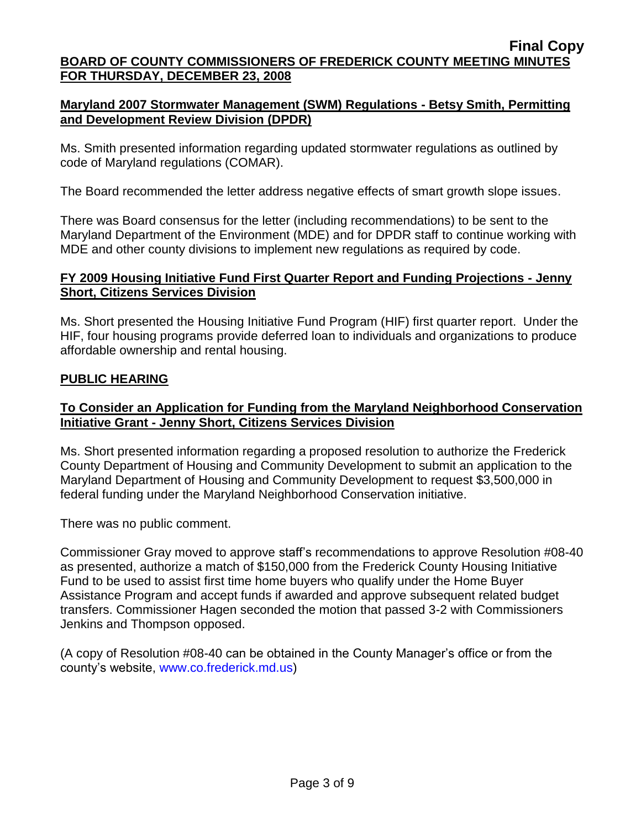## **Maryland 2007 Stormwater Management (SWM) Regulations - Betsy Smith, Permitting and Development Review Division (DPDR)**

Ms. Smith presented information regarding updated stormwater regulations as outlined by code of Maryland regulations (COMAR).

The Board recommended the letter address negative effects of smart growth slope issues.

There was Board consensus for the letter (including recommendations) to be sent to the Maryland Department of the Environment (MDE) and for DPDR staff to continue working with MDE and other county divisions to implement new regulations as required by code.

## **FY 2009 Housing Initiative Fund First Quarter Report and Funding Projections - Jenny Short, Citizens Services Division**

Ms. Short presented the Housing Initiative Fund Program (HIF) first quarter report. Under the HIF, four housing programs provide deferred loan to individuals and organizations to produce affordable ownership and rental housing.

## **PUBLIC HEARING**

### **To Consider an Application for Funding from the Maryland Neighborhood Conservation Initiative Grant - Jenny Short, Citizens Services Division**

Ms. Short presented information regarding a proposed resolution to authorize the Frederick County Department of Housing and Community Development to submit an application to the Maryland Department of Housing and Community Development to request \$3,500,000 in federal funding under the Maryland Neighborhood Conservation initiative.

There was no public comment.

Commissioner Gray moved to approve staff's recommendations to approve Resolution #08-40 as presented, authorize a match of \$150,000 from the Frederick County Housing Initiative Fund to be used to assist first time home buyers who qualify under the Home Buyer Assistance Program and accept funds if awarded and approve subsequent related budget transfers. Commissioner Hagen seconded the motion that passed 3-2 with Commissioners Jenkins and Thompson opposed.

(A copy of Resolution #08-40 can be obtained in the County Manager's office or from the county's website, [www.co.frederick.md.us\)](www.co.frederick.md.us)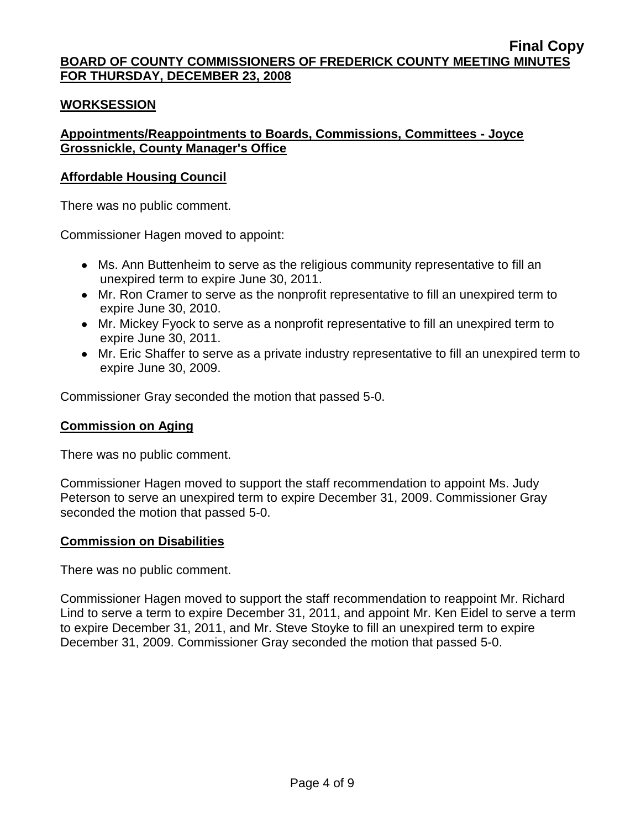### **WORKSESSION**

## **Appointments/Reappointments to Boards, Commissions, Committees - Joyce Grossnickle, County Manager's Office**

### **Affordable Housing Council**

There was no public comment.

Commissioner Hagen moved to appoint:

- Ms. Ann Buttenheim to serve as the religious community representative to fill an unexpired term to expire June 30, 2011.
- Mr. Ron Cramer to serve as the nonprofit representative to fill an unexpired term to expire June 30, 2010.
- Mr. Mickey Fyock to serve as a nonprofit representative to fill an unexpired term to expire June 30, 2011.
- Mr. Eric Shaffer to serve as a private industry representative to fill an unexpired term to expire June 30, 2009.

Commissioner Gray seconded the motion that passed 5-0.

### **Commission on Aging**

There was no public comment.

Commissioner Hagen moved to support the staff recommendation to appoint Ms. Judy Peterson to serve an unexpired term to expire December 31, 2009. Commissioner Gray seconded the motion that passed 5-0.

### **Commission on Disabilities**

There was no public comment.

Commissioner Hagen moved to support the staff recommendation to reappoint Mr. Richard Lind to serve a term to expire December 31, 2011, and appoint Mr. Ken Eidel to serve a term to expire December 31, 2011, and Mr. Steve Stoyke to fill an unexpired term to expire December 31, 2009. Commissioner Gray seconded the motion that passed 5-0.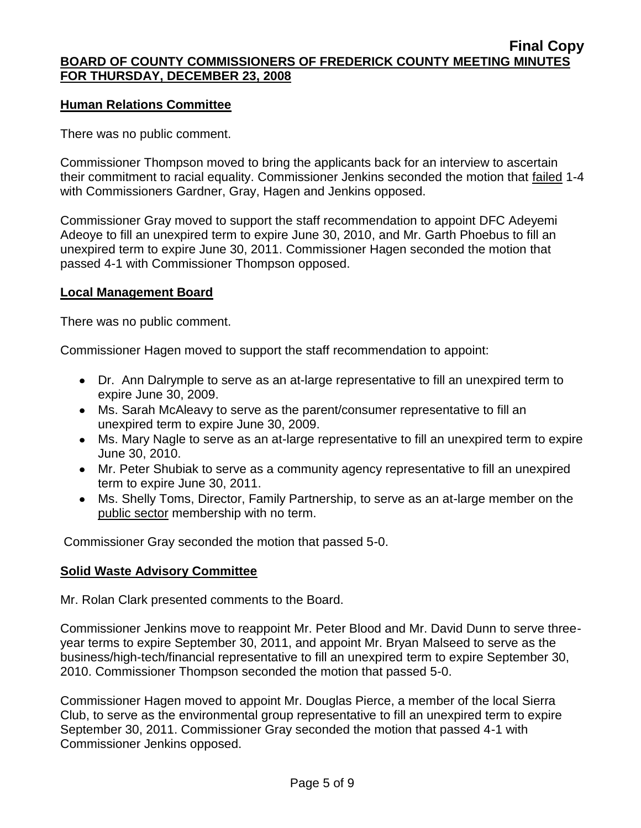### **Human Relations Committee**

There was no public comment.

Commissioner Thompson moved to bring the applicants back for an interview to ascertain their commitment to racial equality. Commissioner Jenkins seconded the motion that failed 1-4 with Commissioners Gardner, Gray, Hagen and Jenkins opposed.

Commissioner Gray moved to support the staff recommendation to appoint DFC Adeyemi Adeoye to fill an unexpired term to expire June 30, 2010, and Mr. Garth Phoebus to fill an unexpired term to expire June 30, 2011. Commissioner Hagen seconded the motion that passed 4-1 with Commissioner Thompson opposed.

### **Local Management Board**

There was no public comment.

Commissioner Hagen moved to support the staff recommendation to appoint:

- Dr. Ann Dalrymple to serve as an at-large representative to fill an unexpired term to expire June 30, 2009.
- Ms. Sarah McAleavy to serve as the parent/consumer representative to fill an unexpired term to expire June 30, 2009.
- Ms. Mary Nagle to serve as an at-large representative to fill an unexpired term to expire June 30, 2010.
- Mr. Peter Shubiak to serve as a community agency representative to fill an unexpired term to expire June 30, 2011.
- Ms. Shelly Toms, Director, Family Partnership, to serve as an at-large member on the public sector membership with no term.

Commissioner Gray seconded the motion that passed 5-0.

### **Solid Waste Advisory Committee**

Mr. Rolan Clark presented comments to the Board.

Commissioner Jenkins move to reappoint Mr. Peter Blood and Mr. David Dunn to serve threeyear terms to expire September 30, 2011, and appoint Mr. Bryan Malseed to serve as the business/high-tech/financial representative to fill an unexpired term to expire September 30, 2010. Commissioner Thompson seconded the motion that passed 5-0.

Commissioner Hagen moved to appoint Mr. Douglas Pierce, a member of the local Sierra Club, to serve as the environmental group representative to fill an unexpired term to expire September 30, 2011. Commissioner Gray seconded the motion that passed 4-1 with Commissioner Jenkins opposed.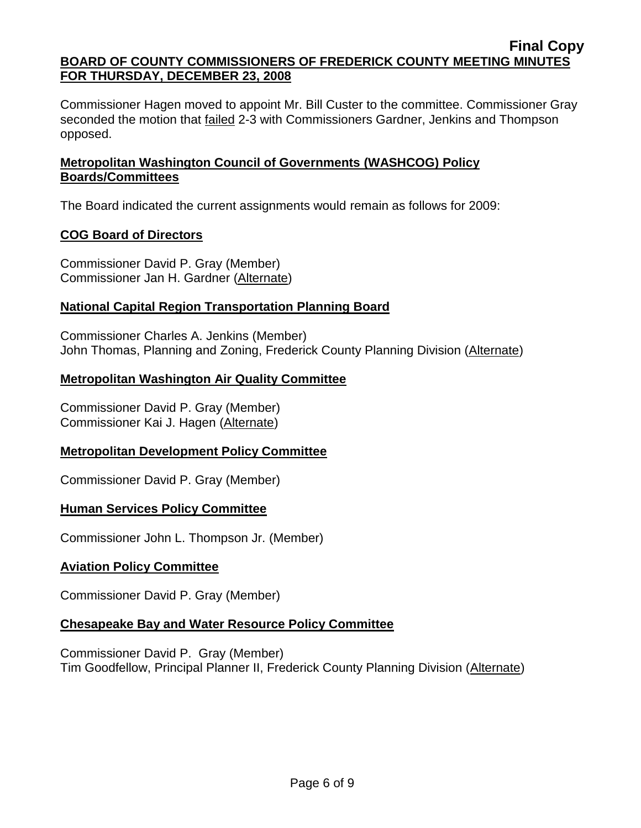Commissioner Hagen moved to appoint Mr. Bill Custer to the committee. Commissioner Gray seconded the motion that failed 2-3 with Commissioners Gardner, Jenkins and Thompson opposed.

## **Metropolitan Washington Council of Governments (WASHCOG) Policy Boards/Committees**

The Board indicated the current assignments would remain as follows for 2009:

# **COG Board of Directors**

Commissioner David P. Gray (Member) Commissioner Jan H. Gardner (Alternate)

# **National Capital Region Transportation Planning Board**

Commissioner Charles A. Jenkins (Member) John Thomas, Planning and Zoning, Frederick County Planning Division (Alternate)

## **Metropolitan Washington Air Quality Committee**

Commissioner David P. Gray (Member) Commissioner Kai J. Hagen (Alternate)

## **Metropolitan Development Policy Committee**

Commissioner David P. Gray (Member)

## **Human Services Policy Committee**

Commissioner John L. Thompson Jr. (Member)

## **Aviation Policy Committee**

Commissioner David P. Gray (Member)

## **Chesapeake Bay and Water Resource Policy Committee**

Commissioner David P. Gray (Member) Tim Goodfellow, Principal Planner II, Frederick County Planning Division (Alternate)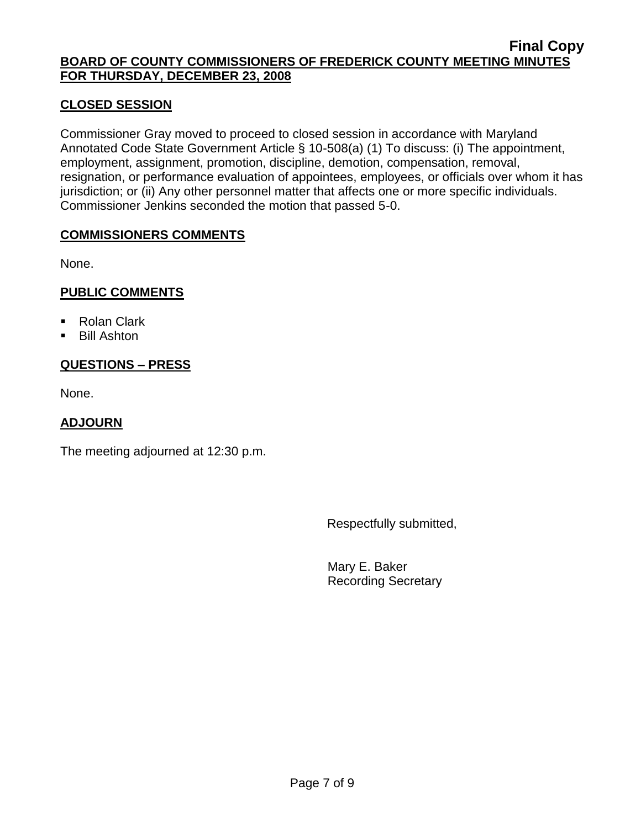## **CLOSED SESSION**

Commissioner Gray moved to proceed to closed session in accordance with Maryland Annotated Code State Government Article § 10-508(a) (1) To discuss: (i) The appointment, employment, assignment, promotion, discipline, demotion, compensation, removal, resignation, or performance evaluation of appointees, employees, or officials over whom it has jurisdiction; or (ii) Any other personnel matter that affects one or more specific individuals. Commissioner Jenkins seconded the motion that passed 5-0.

### **COMMISSIONERS COMMENTS**

None.

## **PUBLIC COMMENTS**

- Rolan Clark
- Bill Ashton

## **QUESTIONS – PRESS**

None.

## **ADJOURN**

The meeting adjourned at 12:30 p.m.

Respectfully submitted,

Mary E. Baker Recording Secretary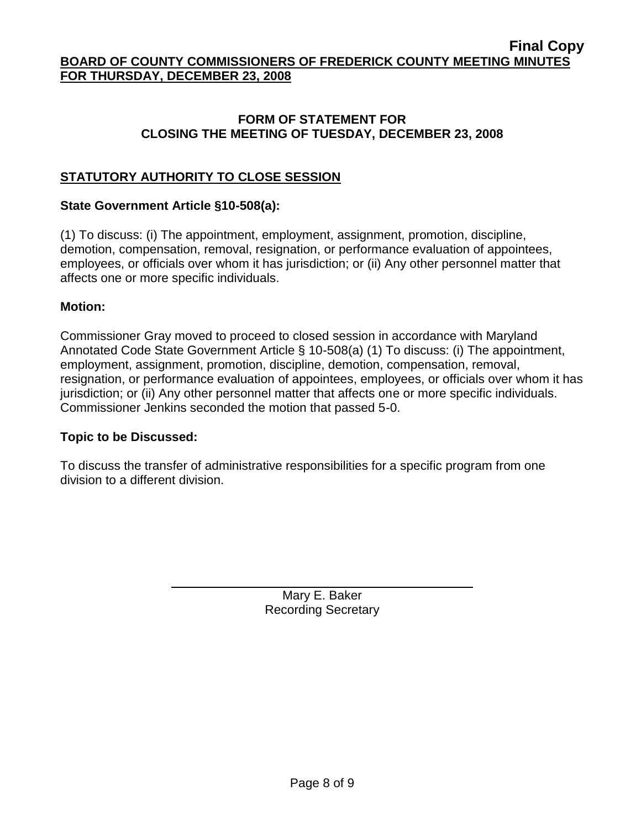### **FORM OF STATEMENT FOR CLOSING THE MEETING OF TUESDAY, DECEMBER 23, 2008**

## **STATUTORY AUTHORITY TO CLOSE SESSION**

## **State Government Article §10-508(a):**

(1) To discuss: (i) The appointment, employment, assignment, promotion, discipline, demotion, compensation, removal, resignation, or performance evaluation of appointees, employees, or officials over whom it has jurisdiction; or (ii) Any other personnel matter that affects one or more specific individuals.

### **Motion:**

Commissioner Gray moved to proceed to closed session in accordance with Maryland Annotated Code State Government Article § 10-508(a) (1) To discuss: (i) The appointment, employment, assignment, promotion, discipline, demotion, compensation, removal, resignation, or performance evaluation of appointees, employees, or officials over whom it has jurisdiction; or (ii) Any other personnel matter that affects one or more specific individuals. Commissioner Jenkins seconded the motion that passed 5-0.

### **Topic to be Discussed:**

To discuss the transfer of administrative responsibilities for a specific program from one division to a different division.

> Mary E. Baker Recording Secretary